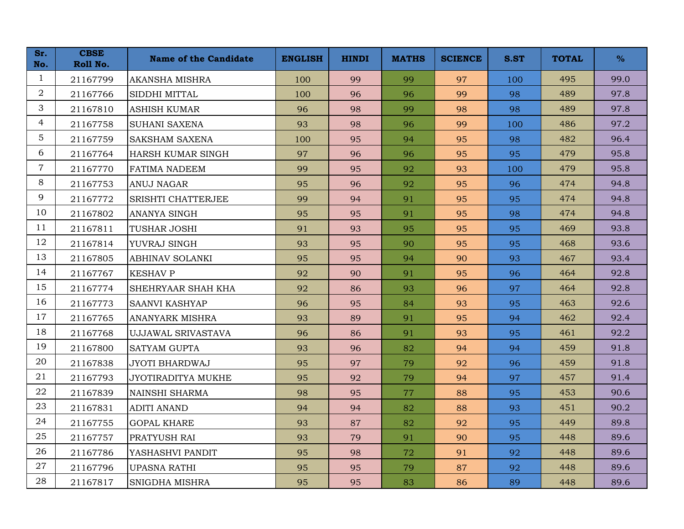| Sr.<br>No.     | <b>CBSE</b><br>Roll No. | <b>Name of the Candidate</b> | <b>ENGLISH</b> | <b>HINDI</b> | <b>MATHS</b> | <b>SCIENCE</b> | S.ST | <b>TOTAL</b> | $\%$ |
|----------------|-------------------------|------------------------------|----------------|--------------|--------------|----------------|------|--------------|------|
| $\mathbf{1}$   | 21167799                | <b>AKANSHA MISHRA</b>        | 100            | 99           | 99           | 97             | 100  | 495          | 99.0 |
| 2              | 21167766                | SIDDHI MITTAL                | 100            | 96           | 96           | 99             | 98   | 489          | 97.8 |
| 3              | 21167810                | <b>ASHISH KUMAR</b>          | 96             | 98           | 99           | 98             | 98   | 489          | 97.8 |
| $\overline{4}$ | 21167758                | <b>SUHANI SAXENA</b>         | 93             | 98           | 96           | 99             | 100  | 486          | 97.2 |
| $\overline{5}$ | 21167759                | <b>SAKSHAM SAXENA</b>        | 100            | 95           | 94           | 95             | 98   | 482          | 96.4 |
| 6              | 21167764                | HARSH KUMAR SINGH            | 97             | 96           | 96           | 95             | 95   | 479          | 95.8 |
| $\overline{7}$ | 21167770                | <b>FATIMA NADEEM</b>         | 99             | 95           | 92           | 93             | 100  | 479          | 95.8 |
| 8              | 21167753                | <b>ANUJ NAGAR</b>            | 95             | 96           | 92           | 95             | 96   | 474          | 94.8 |
| 9              | 21167772                | SRISHTI CHATTERJEE           | 99             | 94           | 91           | 95             | 95   | 474          | 94.8 |
| 10             | 21167802                | <b>ANANYA SINGH</b>          | 95             | 95           | 91           | 95             | 98   | 474          | 94.8 |
| 11             | 21167811                | <b>TUSHAR JOSHI</b>          | 91             | 93           | 95           | 95             | 95   | 469          | 93.8 |
| 12             | 21167814                | YUVRAJ SINGH                 | 93             | 95           | 90           | 95             | 95   | 468          | 93.6 |
| 13             | 21167805                | <b>ABHINAV SOLANKI</b>       | 95             | 95           | 94           | 90             | 93   | 467          | 93.4 |
| 14             | 21167767                | <b>KESHAV P</b>              | 92             | 90           | 91           | 95             | 96   | 464          | 92.8 |
| 15             | 21167774                | SHEHRYAAR SHAH KHA           | 92             | 86           | 93           | 96             | 97   | 464          | 92.8 |
| 16             | 21167773                | <b>SAANVI KASHYAP</b>        | 96             | 95           | 84           | 93             | 95   | 463          | 92.6 |
| 17             | 21167765                | <b>ANANYARK MISHRA</b>       | 93             | 89           | 91           | 95             | 94   | 462          | 92.4 |
| 18             | 21167768                | UJJAWAL SRIVASTAVA           | 96             | 86           | 91           | 93             | 95   | 461          | 92.2 |
| 19             | 21167800                | <b>SATYAM GUPTA</b>          | 93             | 96           | 82           | 94             | 94   | 459          | 91.8 |
| 20             | 21167838                | <b>JYOTI BHARDWAJ</b>        | 95             | 97           | 79           | 92             | 96   | 459          | 91.8 |
| 21             | 21167793                | JYOTIRADITYA MUKHE           | 95             | 92           | 79           | 94             | 97   | 457          | 91.4 |
| 22             | 21167839                | NAINSHI SHARMA               | 98             | 95           | 77           | 88             | 95   | 453          | 90.6 |
| 23             | 21167831                | <b>ADITI ANAND</b>           | 94             | 94           | 82           | 88             | 93   | 451          | 90.2 |
| 24             | 21167755                | <b>GOPAL KHARE</b>           | 93             | 87           | 82           | 92             | 95   | 449          | 89.8 |
| 25             | 21167757                | PRATYUSH RAI                 | 93             | 79           | 91           | 90             | 95   | 448          | 89.6 |
| 26             | 21167786                | YASHASHVI PANDIT             | 95             | 98           | 72           | 91             | 92   | 448          | 89.6 |
| 27             | 21167796                | <b>UPASNA RATHI</b>          | 95             | 95           | 79           | 87             | 92   | 448          | 89.6 |
| 28             | 21167817                | SNIGDHA MISHRA               | 95             | 95           | 83           | 86             | 89   | 448          | 89.6 |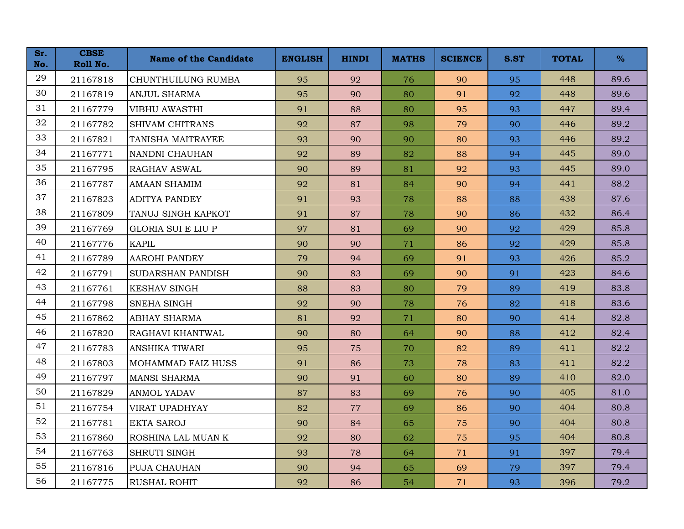| Sr.<br>No. | <b>CBSE</b><br>Roll No. | <b>Name of the Candidate</b> | <b>ENGLISH</b> | <b>HINDI</b> | <b>MATHS</b> | <b>SCIENCE</b> | S.ST | <b>TOTAL</b> | $\%$ |
|------------|-------------------------|------------------------------|----------------|--------------|--------------|----------------|------|--------------|------|
| 29         | 21167818                | CHUNTHUILUNG RUMBA           | 95             | 92           | 76           | 90             | 95   | 448          | 89.6 |
| 30         | 21167819                | <b>ANJUL SHARMA</b>          | 95             | 90           | 80           | 91             | 92   | 448          | 89.6 |
| 31         | 21167779                | <b>VIBHU AWASTHI</b>         | 91             | 88           | 80           | 95             | 93   | 447          | 89.4 |
| 32         | 21167782                | <b>SHIVAM CHITRANS</b>       | 92             | 87           | 98           | 79             | 90   | 446          | 89.2 |
| 33         | 21167821                | TANISHA MAITRAYEE            | 93             | 90           | 90           | 80             | 93   | 446          | 89.2 |
| 34         | 21167771                | NANDNI CHAUHAN               | 92             | 89           | 82           | 88             | 94   | 445          | 89.0 |
| 35         | 21167795                | <b>RAGHAV ASWAL</b>          | 90             | 89           | 81           | 92             | 93   | 445          | 89.0 |
| 36         | 21167787                | AMAAN SHAMIM                 | 92             | 81           | 84           | 90             | 94   | 441          | 88.2 |
| 37         | 21167823                | <b>ADITYA PANDEY</b>         | 91             | 93           | 78           | 88             | 88   | 438          | 87.6 |
| 38         | 21167809                | TANUJ SINGH KAPKOT           | 91             | 87           | 78           | 90             | 86   | 432          | 86.4 |
| 39         | 21167769                | <b>GLORIA SUI E LIU P</b>    | 97             | 81           | 69           | 90             | 92   | 429          | 85.8 |
| 40         | 21167776                | <b>KAPIL</b>                 | 90             | 90           | 71           | 86             | 92   | 429          | 85.8 |
| 41         | 21167789                | <b>AAROHI PANDEY</b>         | 79             | 94           | 69           | 91             | 93   | 426          | 85.2 |
| 42         | 21167791                | <b>SUDARSHAN PANDISH</b>     | 90             | 83           | 69           | 90             | 91   | 423          | 84.6 |
| 43         | 21167761                | <b>KESHAV SINGH</b>          | 88             | 83           | 80           | 79             | 89   | 419          | 83.8 |
| 44         | 21167798                | SNEHA SINGH                  | 92             | 90           | 78           | 76             | 82   | 418          | 83.6 |
| 45         | 21167862                | <b>ABHAY SHARMA</b>          | 81             | 92           | 71           | 80             | 90   | 414          | 82.8 |
| 46         | 21167820                | RAGHAVI KHANTWAL             | 90             | 80           | 64           | 90             | 88   | 412          | 82.4 |
| 47         | 21167783                | <b>ANSHIKA TIWARI</b>        | 95             | 75           | 70           | 82             | 89   | 411          | 82.2 |
| 48         | 21167803                | MOHAMMAD FAIZ HUSS           | 91             | 86           | 73           | 78             | 83   | 411          | 82.2 |
| 49         | 21167797                | <b>MANSI SHARMA</b>          | 90             | 91           | 60           | 80             | 89   | 410          | 82.0 |
| 50         | 21167829                | <b>ANMOL YADAV</b>           | 87             | 83           | 69           | 76             | 90   | 405          | 81.0 |
| 51         | 21167754                | <b>VIRAT UPADHYAY</b>        | 82             | 77           | 69           | 86             | 90   | 404          | 80.8 |
| 52         | 21167781                | <b>EKTA SAROJ</b>            | 90             | 84           | 65           | 75             | 90   | 404          | 80.8 |
| 53         | 21167860                | ROSHINA LAL MUAN K           | 92             | 80           | 62           | 75             | 95   | 404          | 80.8 |
| 54         | 21167763                | SHRUTI SINGH                 | 93             | 78           | 64           | 71             | 91   | 397          | 79.4 |
| 55         | 21167816                | PUJA CHAUHAN                 | 90             | 94           | 65           | 69             | 79   | 397          | 79.4 |
| 56         | 21167775                | <b>RUSHAL ROHIT</b>          | 92             | 86           | 54           | 71             | 93   | 396          | 79.2 |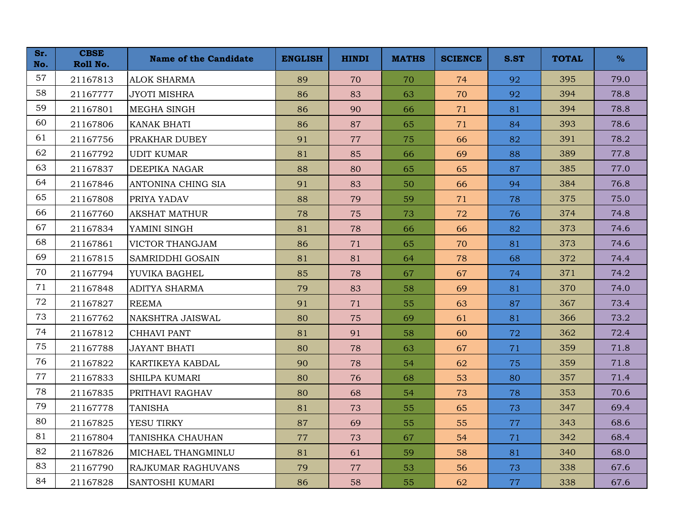| Sr.<br>No. | <b>CBSE</b><br>Roll No. | <b>Name of the Candidate</b> | <b>ENGLISH</b> | <b>HINDI</b> | <b>MATHS</b> | <b>SCIENCE</b> | S.ST | <b>TOTAL</b> | $\%$ |
|------------|-------------------------|------------------------------|----------------|--------------|--------------|----------------|------|--------------|------|
| 57         | 21167813                | <b>ALOK SHARMA</b>           | 89             | 70           | 70           | 74             | 92   | 395          | 79.0 |
| 58         | 21167777                | <b>JYOTI MISHRA</b>          | 86             | 83           | 63           | 70             | 92   | 394          | 78.8 |
| 59         | 21167801                | MEGHA SINGH                  | 86             | 90           | 66           | 71             | 81   | 394          | 78.8 |
| 60         | 21167806                | <b>KANAK BHATI</b>           | 86             | 87           | 65           | 71             | 84   | 393          | 78.6 |
| 61         | 21167756                | PRAKHAR DUBEY                | 91             | 77           | 75           | 66             | 82   | 391          | 78.2 |
| 62         | 21167792                | <b>UDIT KUMAR</b>            | 81             | 85           | 66           | 69             | 88   | 389          | 77.8 |
| 63         | 21167837                | <b>DEEPIKA NAGAR</b>         | 88             | 80           | 65           | 65             | 87   | 385          | 77.0 |
| 64         | 21167846                | ANTONINA CHING SIA           | 91             | 83           | 50           | 66             | 94   | 384          | 76.8 |
| 65         | 21167808                | PRIYA YADAV                  | 88             | 79           | 59           | 71             | 78   | 375          | 75.0 |
| 66         | 21167760                | <b>AKSHAT MATHUR</b>         | 78             | 75           | 73           | 72             | 76   | 374          | 74.8 |
| 67         | 21167834                | YAMINI SINGH                 | 81             | 78           | 66           | 66             | 82   | 373          | 74.6 |
| 68         | 21167861                | VICTOR THANGJAM              | 86             | 71           | 65           | 70             | 81   | 373          | 74.6 |
| 69         | 21167815                | SAMRIDDHI GOSAIN             | 81             | 81           | 64           | 78             | 68   | 372          | 74.4 |
| 70         | 21167794                | YUVIKA BAGHEL                | 85             | 78           | 67           | 67             | 74   | 371          | 74.2 |
| 71         | 21167848                | <b>ADITYA SHARMA</b>         | 79             | 83           | 58           | 69             | 81   | 370          | 74.0 |
| 72         | 21167827                | <b>REEMA</b>                 | 91             | 71           | 55           | 63             | 87   | 367          | 73.4 |
| 73         | 21167762                | NAKSHTRA JAISWAL             | 80             | 75           | 69           | 61             | 81   | 366          | 73.2 |
| 74         | 21167812                | <b>CHHAVI PANT</b>           | 81             | 91           | 58           | 60             | 72   | 362          | 72.4 |
| 75         | 21167788                | <b>JAYANT BHATI</b>          | 80             | 78           | 63           | 67             | 71   | 359          | 71.8 |
| 76         | 21167822                | KARTIKEYA KABDAL             | 90             | 78           | 54           | 62             | 75   | 359          | 71.8 |
| 77         | 21167833                | <b>SHILPA KUMARI</b>         | 80             | 76           | 68           | 53             | 80   | 357          | 71.4 |
| 78         | 21167835                | PRITHAVI RAGHAV              | 80             | 68           | 54           | 73             | 78   | 353          | 70.6 |
| 79         | 21167778                | <b>TANISHA</b>               | 81             | 73           | 55           | 65             | 73   | 347          | 69.4 |
| 80         | 21167825                | YESU TIRKY                   | 87             | 69           | 55           | 55             | 77   | 343          | 68.6 |
| 81         | 21167804                | TANISHKA CHAUHAN             | 77             | 73           | 67           | 54             | 71   | 342          | 68.4 |
| 82         | 21167826                | MICHAEL THANGMINLU           | 81             | 61           | 59           | 58             | 81   | 340          | 68.0 |
| 83         | 21167790                | RAJKUMAR RAGHUVANS           | 79             | 77           | 53           | 56             | 73   | 338          | 67.6 |
| 84         | 21167828                | SANTOSHI KUMARI              | 86             | 58           | 55           | 62             | 77   | 338          | 67.6 |